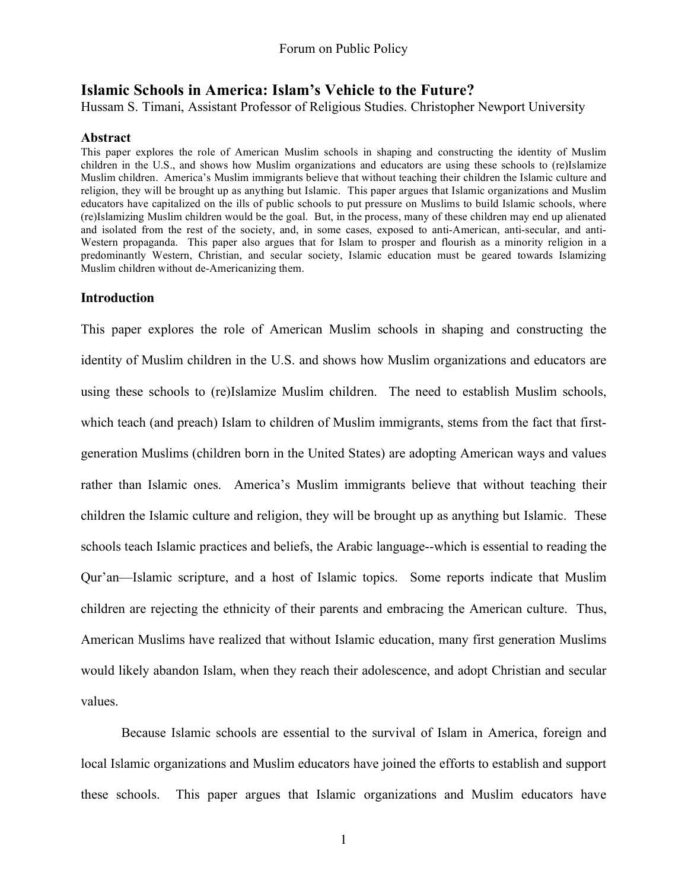# **Islamic Schools in America: Islam's Vehicle to the Future?**

Hussam S. Timani, Assistant Professor of Religious Studies. Christopher Newport University

## **Abstract**

This paper explores the role of American Muslim schools in shaping and constructing the identity of Muslim children in the U.S., and shows how Muslim organizations and educators are using these schools to (re)Islamize Muslim children. America's Muslim immigrants believe that without teaching their children the Islamic culture and religion, they will be brought up as anything but Islamic. This paper argues that Islamic organizations and Muslim educators have capitalized on the ills of public schools to put pressure on Muslims to build Islamic schools, where (re)Islamizing Muslim children would be the goal. But, in the process, many of these children may end up alienated and isolated from the rest of the society, and, in some cases, exposed to anti-American, anti-secular, and anti-Western propaganda. This paper also argues that for Islam to prosper and flourish as a minority religion in a predominantly Western, Christian, and secular society, Islamic education must be geared towards Islamizing Muslim children without de-Americanizing them.

## **Introduction**

This paper explores the role of American Muslim schools in shaping and constructing the identity of Muslim children in the U.S. and shows how Muslim organizations and educators are using these schools to (re)Islamize Muslim children. The need to establish Muslim schools, which teach (and preach) Islam to children of Muslim immigrants, stems from the fact that firstgeneration Muslims (children born in the United States) are adopting American ways and values rather than Islamic ones. America's Muslim immigrants believe that without teaching their children the Islamic culture and religion, they will be brought up as anything but Islamic. These schools teach Islamic practices and beliefs, the Arabic language--which is essential to reading the Qur'an—Islamic scripture, and a host of Islamic topics. Some reports indicate that Muslim children are rejecting the ethnicity of their parents and embracing the American culture. Thus, American Muslims have realized that without Islamic education, many first generation Muslims would likely abandon Islam, when they reach their adolescence, and adopt Christian and secular values.

Because Islamic schools are essential to the survival of Islam in America, foreign and local Islamic organizations and Muslim educators have joined the efforts to establish and support these schools. This paper argues that Islamic organizations and Muslim educators have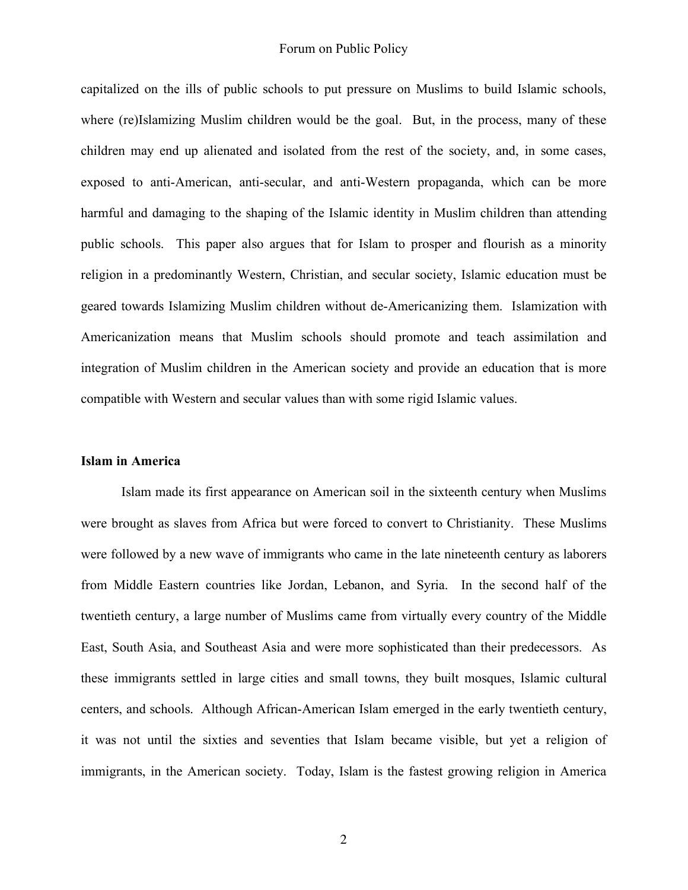capitalized on the ills of public schools to put pressure on Muslims to build Islamic schools, where (re)Islamizing Muslim children would be the goal. But, in the process, many of these children may end up alienated and isolated from the rest of the society, and, in some cases, exposed to anti-American, anti-secular, and anti-Western propaganda, which can be more harmful and damaging to the shaping of the Islamic identity in Muslim children than attending public schools. This paper also argues that for Islam to prosper and flourish as a minority religion in a predominantly Western, Christian, and secular society, Islamic education must be geared towards Islamizing Muslim children without de-Americanizing them. Islamization with Americanization means that Muslim schools should promote and teach assimilation and integration of Muslim children in the American society and provide an education that is more compatible with Western and secular values than with some rigid Islamic values.

#### **Islam in America**

Islam made its first appearance on American soil in the sixteenth century when Muslims were brought as slaves from Africa but were forced to convert to Christianity. These Muslims were followed by a new wave of immigrants who came in the late nineteenth century as laborers from Middle Eastern countries like Jordan, Lebanon, and Syria. In the second half of the twentieth century, a large number of Muslims came from virtually every country of the Middle East, South Asia, and Southeast Asia and were more sophisticated than their predecessors. As these immigrants settled in large cities and small towns, they built mosques, Islamic cultural centers, and schools. Although African-American Islam emerged in the early twentieth century, it was not until the sixties and seventies that Islam became visible, but yet a religion of immigrants, in the American society. Today, Islam is the fastest growing religion in America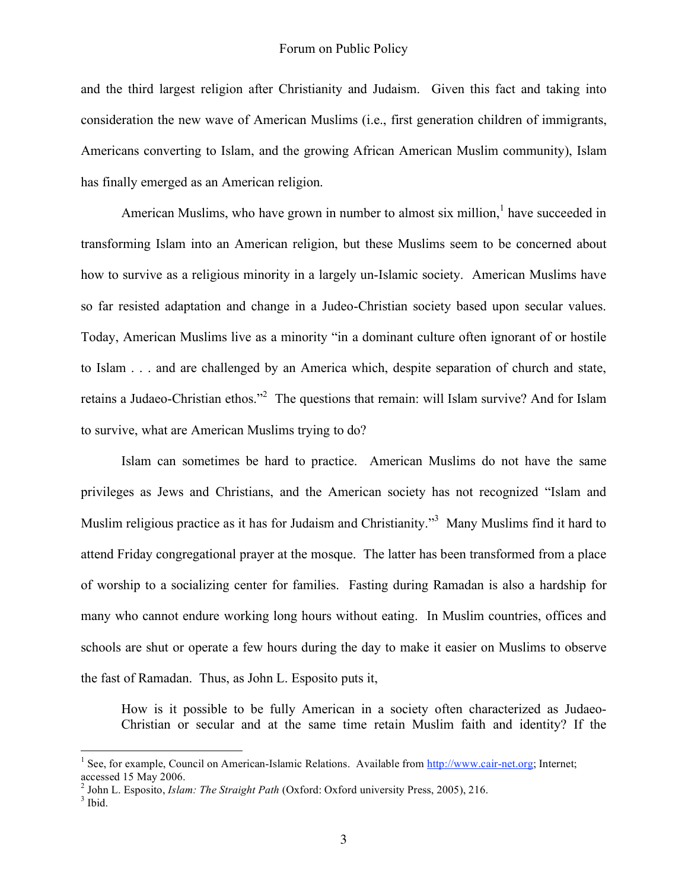and the third largest religion after Christianity and Judaism. Given this fact and taking into consideration the new wave of American Muslims (i.e., first generation children of immigrants, Americans converting to Islam, and the growing African American Muslim community), Islam has finally emerged as an American religion.

American Muslims, who have grown in number to almost six million, $<sup>1</sup>$  have succeeded in</sup> transforming Islam into an American religion, but these Muslims seem to be concerned about how to survive as a religious minority in a largely un-Islamic society. American Muslims have so far resisted adaptation and change in a Judeo-Christian society based upon secular values. Today, American Muslims live as a minority "in a dominant culture often ignorant of or hostile to Islam . . . and are challenged by an America which, despite separation of church and state, retains a Judaeo-Christian ethos."<sup>2</sup> The questions that remain: will Islam survive? And for Islam to survive, what are American Muslims trying to do?

Islam can sometimes be hard to practice. American Muslims do not have the same privileges as Jews and Christians, and the American society has not recognized "Islam and Muslim religious practice as it has for Judaism and Christianity."<sup>3</sup> Many Muslims find it hard to attend Friday congregational prayer at the mosque. The latter has been transformed from a place of worship to a socializing center for families. Fasting during Ramadan is also a hardship for many who cannot endure working long hours without eating. In Muslim countries, offices and schools are shut or operate a few hours during the day to make it easier on Muslims to observe the fast of Ramadan. Thus, as John L. Esposito puts it,

How is it possible to be fully American in a society often characterized as Judaeo-Christian or secular and at the same time retain Muslim faith and identity? If the

<sup>&</sup>lt;sup>1</sup> See, for example, Council on American-Islamic Relations. Available from http://www.cair-net.org; Internet; accessed 15 May 2006.<br><sup>2</sup> John L. Esposito, *Islam: The Straight Path* (Oxford: Oxford university Press, 2005), 216.<br><sup>3</sup> Ibid.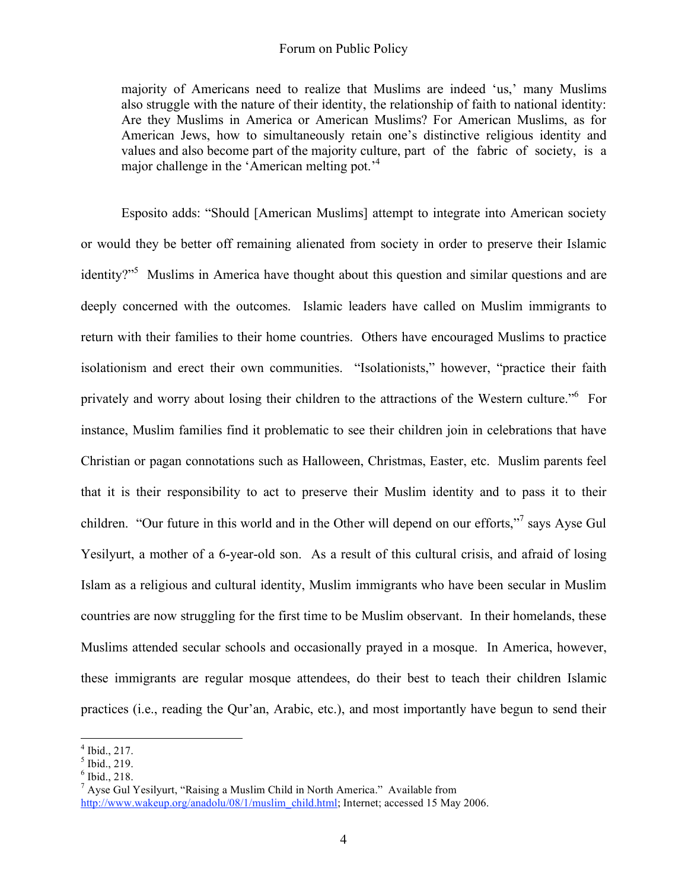## Forum on Public Policy

majority of Americans need to realize that Muslims are indeed 'us,' many Muslims also struggle with the nature of their identity, the relationship of faith to national identity: Are they Muslims in America or American Muslims? For American Muslims, as for American Jews, how to simultaneously retain one's distinctive religious identity and values and also become part of the majority culture, part of the fabric of society, is a major challenge in the 'American melting pot.'<sup>4</sup>

Esposito adds: "Should [American Muslims] attempt to integrate into American society or would they be better off remaining alienated from society in order to preserve their Islamic identity?"<sup>5</sup> Muslims in America have thought about this question and similar questions and are deeply concerned with the outcomes. Islamic leaders have called on Muslim immigrants to return with their families to their home countries. Others have encouraged Muslims to practice isolationism and erect their own communities. "Isolationists," however, "practice their faith privately and worry about losing their children to the attractions of the Western culture."<sup>6</sup> For instance, Muslim families find it problematic to see their children join in celebrations that have Christian or pagan connotations such as Halloween, Christmas, Easter, etc. Muslim parents feel that it is their responsibility to act to preserve their Muslim identity and to pass it to their children. "Our future in this world and in the Other will depend on our efforts,"<sup>7</sup> says Ayse Gul Yesilyurt, a mother of a 6-year-old son. As a result of this cultural crisis, and afraid of losing Islam as a religious and cultural identity, Muslim immigrants who have been secular in Muslim countries are now struggling for the first time to be Muslim observant. In their homelands, these Muslims attended secular schools and occasionally prayed in a mosque. In America, however, these immigrants are regular mosque attendees, do their best to teach their children Islamic practices (i.e., reading the Qur'an, Arabic, etc.), and most importantly have begun to send their

<sup>&</sup>lt;sup>4</sup> Ibid., 217.<br><sup>5</sup> Ibid., 219.<br>6 Ibid., 218.<br><sup>7</sup> Ayse Gul Yesilyurt, "Raising a Muslim Child in North America." Available from http://www.wakeup.org/anadolu/08/1/muslim\_child.html; Internet; accessed 15 May 2006.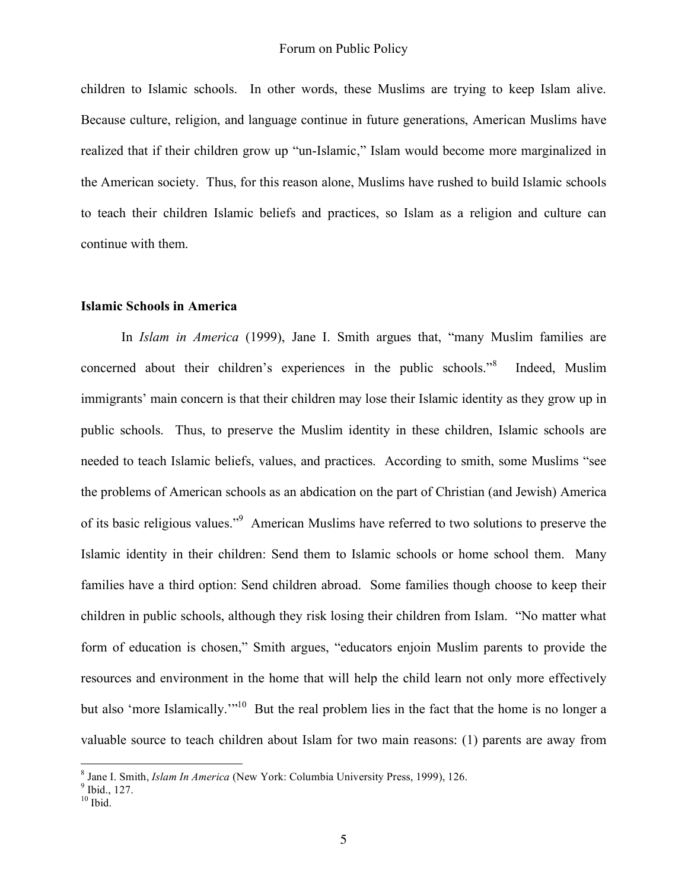children to Islamic schools. In other words, these Muslims are trying to keep Islam alive. Because culture, religion, and language continue in future generations, American Muslims have realized that if their children grow up "un-Islamic," Islam would become more marginalized in the American society. Thus, for this reason alone, Muslims have rushed to build Islamic schools to teach their children Islamic beliefs and practices, so Islam as a religion and culture can continue with them.

#### **Islamic Schools in America**

In *Islam in America* (1999), Jane I. Smith argues that, "many Muslim families are concerned about their children's experiences in the public schools."<sup>8</sup> Indeed, Muslim immigrants' main concern is that their children may lose their Islamic identity as they grow up in public schools. Thus, to preserve the Muslim identity in these children, Islamic schools are needed to teach Islamic beliefs, values, and practices. According to smith, some Muslims "see the problems of American schools as an abdication on the part of Christian (and Jewish) America of its basic religious values."<sup>9</sup> American Muslims have referred to two solutions to preserve the Islamic identity in their children: Send them to Islamic schools or home school them. Many families have a third option: Send children abroad. Some families though choose to keep their children in public schools, although they risk losing their children from Islam. "No matter what form of education is chosen," Smith argues, "educators enjoin Muslim parents to provide the resources and environment in the home that will help the child learn not only more effectively but also 'more Islamically.'"<sup>10</sup> But the real problem lies in the fact that the home is no longer a valuable source to teach children about Islam for two main reasons: (1) parents are away from

<sup>&</sup>lt;sup>8</sup> Jane I. Smith, *Islam In America* (New York: Columbia University Press, 1999), 126.<br><sup>9</sup> Ibid., 127.<br><sup>10</sup> Ibid.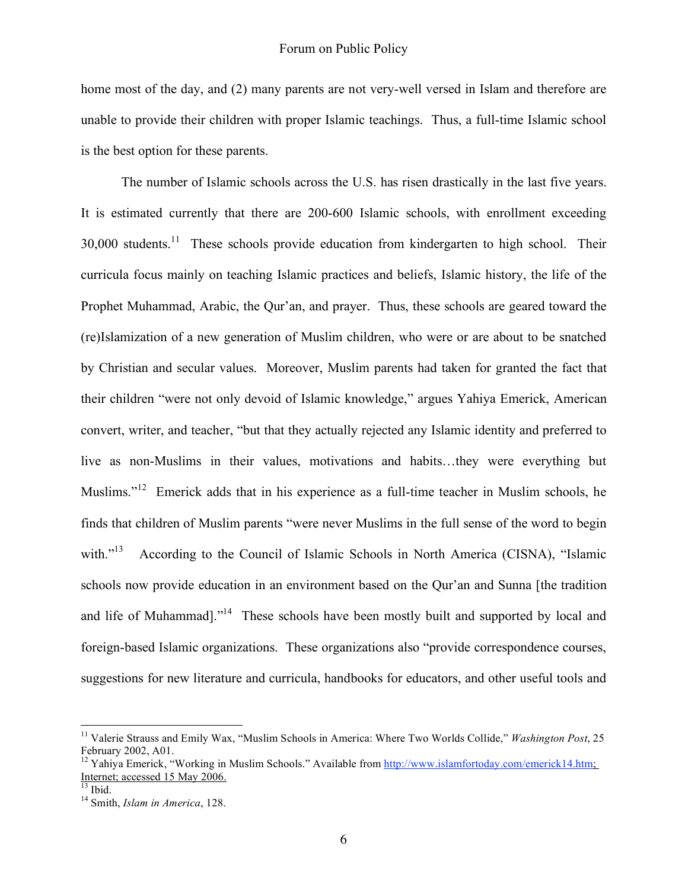home most of the day, and (2) many parents are not very-well versed in Islam and therefore are unable to provide their children with proper Islamic teachings. Thus, a full-time Islamic school is the best option for these parents.

The number of Islamic schools across the U.S. has risen drastically in the last five years. It is estimated currently that there are 200-600 Islamic schools, with enrollment exceeding 30,000 students.<sup>11</sup> These schools provide education from kindergarten to high school. Their curricula focus mainly on teaching Islamic practices and beliefs, Islamic history, the life of the Prophet Muhammad, Arabic, the Qur'an, and prayer. Thus, these schools are geared toward the (re)Islamization of a new generation of Muslim children, who were or are about to be snatched by Christian and secular values. Moreover, Muslim parents had taken for granted the fact that their children "were not only devoid of Islamic knowledge," argues Yahiya Emerick, American convert, writer, and teacher, "but that they actually rejected any Islamic identity and preferred to live as non-Muslims in their values, motivations and habits…they were everything but Muslims."<sup>12</sup> Emerick adds that in his experience as a full-time teacher in Muslim schools, he finds that children of Muslim parents "were never Muslims in the full sense of the word to begin with. $^{313}$ According to the Council of Islamic Schools in North America (CISNA), "Islamic schools now provide education in an environment based on the Qur'an and Sunna [the tradition and life of Muhammad]."<sup>14</sup> These schools have been mostly built and supported by local and foreign-based Islamic organizations. These organizations also "provide correspondence courses, suggestions for new literature and curricula, handbooks for educators, and other useful tools and

<sup>11</sup> Valerie Strauss and Emily Wax, "Muslim Schools in America: Where Two Worlds Collide," *Washington Post*, <sup>25</sup> February 2002, A01.<br><sup>12</sup> Yahiya Emerick, "Working in Muslim Schools." Available from http://www.islamfortoday.com/emerick14.htm;

Internet; accessed <sup>15</sup> May 2006. <sup>13</sup> Ibid. <sup>14</sup> Smith, *Islam in America*, 128.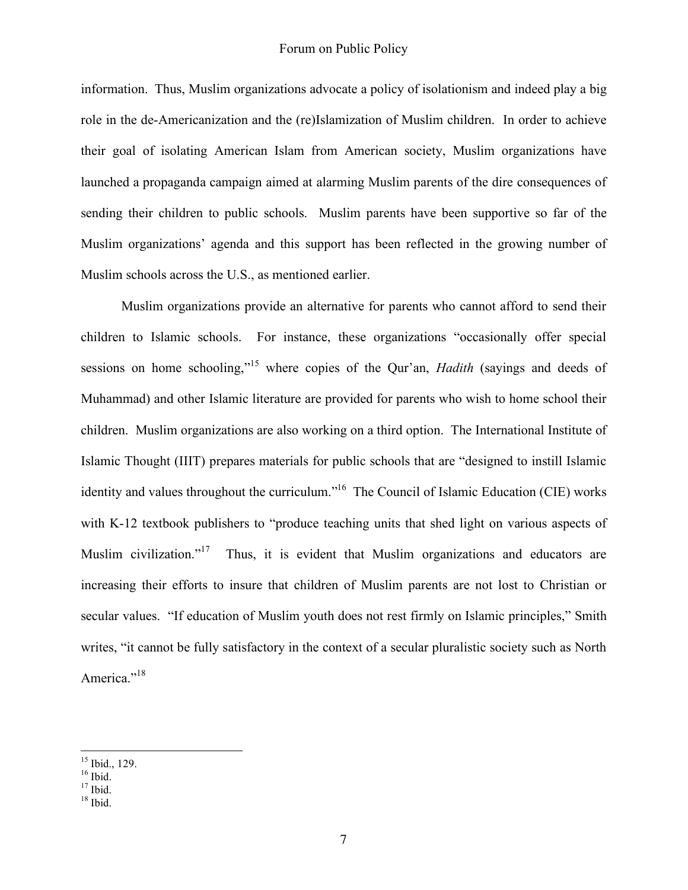information. Thus, Muslim organizations advocate a policy of isolationism and indeed play a big role in the de-Americanization and the (re)Islamization of Muslim children. In order to achieve their goal of isolating American Islam from American society, Muslim organizations have launched a propaganda campaign aimed at alarming Muslim parents of the dire consequences of sending their children to public schools. Muslim parents have been supportive so far of the Muslim organizations' agenda and this support has been reflected in the growing number of Muslim schools across the U.S., as mentioned earlier.

Muslim organizations provide an alternative for parents who cannot afford to send their children to Islamic schools. For instance, these organizations "occasionally offer special sessions on home schooling,"<sup>15</sup> where copies of the Qur'an, *Hadith* (sayings and deeds of Muhammad) and other Islamic literature are provided for parents who wish to home school their children. Muslim organizations are also working on a third option. The International Institute of Islamic Thought (IIIT) prepares materials for public schools that are "designed to instill Islamic identity and values throughout the curriculum."<sup>16</sup> The Council of Islamic Education (CIE) works with K-12 textbook publishers to "produce teaching units that shed light on various aspects of Muslim civilization."<sup>17</sup> Thus, it is evident that Muslim organizations and educators are increasing their efforts to insure that children of Muslim parents are not lost to Christian or secular values. "If education of Muslim youth does not rest firmly on Islamic principles," Smith writes, "it cannot be fully satisfactory in the context of a secular pluralistic society such as North America."<sup>18</sup>

 $\frac{15}{16}$  Ibid., 129.<br> $\frac{16}{17}$  Ibid.<br> $\frac{17}{18}$  Ibid.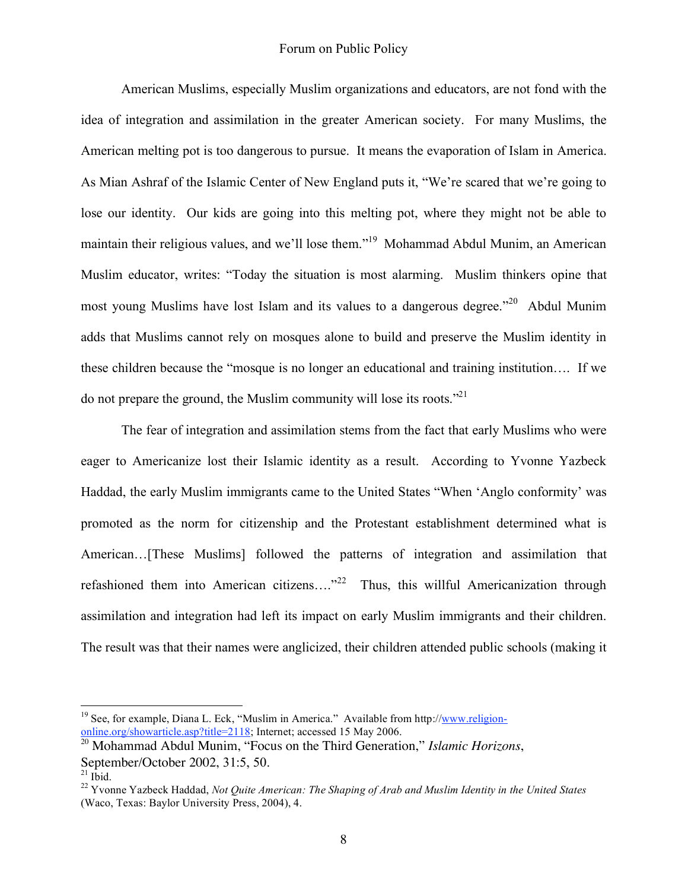American Muslims, especially Muslim organizations and educators, are not fond with the idea of integration and assimilation in the greater American society. For many Muslims, the American melting pot is too dangerous to pursue. It means the evaporation of Islam in America. As Mian Ashraf of the Islamic Center of New England puts it, "We're scared that we're going to lose our identity. Our kids are going into this melting pot, where they might not be able to maintain their religious values, and we'll lose them."<sup>19</sup> Mohammad Abdul Munim, an American Muslim educator, writes: "Today the situation is most alarming. Muslim thinkers opine that most young Muslims have lost Islam and its values to a dangerous degree."<sup>20</sup> Abdul Munim adds that Muslims cannot rely on mosques alone to build and preserve the Muslim identity in these children because the "mosque is no longer an educational and training institution…. If we do not prepare the ground, the Muslim community will lose its roots."<sup>21</sup>

The fear of integration and assimilation stems from the fact that early Muslims who were eager to Americanize lost their Islamic identity as a result. According to Yvonne Yazbeck Haddad, the early Muslim immigrants came to the United States "When 'Anglo conformity' was promoted as the norm for citizenship and the Protestant establishment determined what is American…[These Muslims] followed the patterns of integration and assimilation that refashioned them into American citizens...."<sup>22</sup> Thus, this willful Americanization through assimilation and integration had left its impact on early Muslim immigrants and their children. The result was that their names were anglicized, their children attended public schools (making it

<sup>&</sup>lt;sup>19</sup> See, for example, Diana L. Eck, "Muslim in America." Available from http://www.religiononline.org/showarticle.asp?title=2118; Internet; accessed 15 May 2006.

<sup>20</sup> Mohammad Abdul Munim, "Focus on the Third Generation," *Islamic Horizons*,

September/October 2002, 31:5, 50.<br><sup>21</sup> Ibid.<br><sup>22</sup> Yvonne Yazbeck Haddad, *Not Quite American: The Shaping of Arab and Muslim Identity in the United States* (Waco, Texas: Baylor University Press, 2004), 4.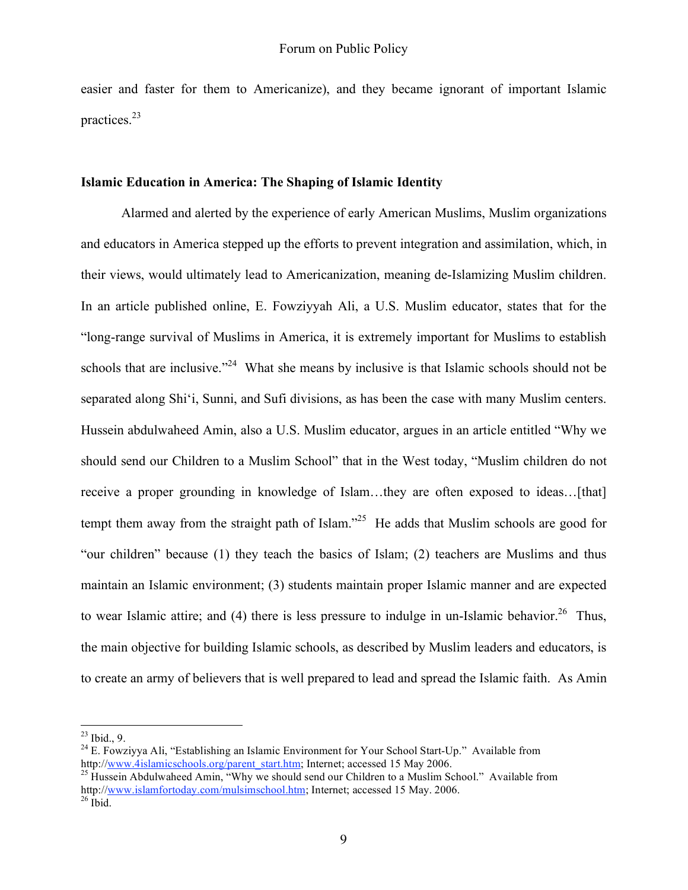easier and faster for them to Americanize), and they became ignorant of important Islamic practices. 23

#### **Islamic Education in America: The Shaping of Islamic Identity**

Alarmed and alerted by the experience of early American Muslims, Muslim organizations and educators in America stepped up the efforts to prevent integration and assimilation, which, in their views, would ultimately lead to Americanization, meaning de-Islamizing Muslim children. In an article published online, E. Fowziyyah Ali, a U.S. Muslim educator, states that for the "long-range survival of Muslims in America, it is extremely important for Muslims to establish schools that are inclusive."<sup>24</sup> What she means by inclusive is that Islamic schools should not be separated along Shi'i, Sunni, and Sufi divisions, as has been the case with many Muslim centers. Hussein abdulwaheed Amin, also a U.S. Muslim educator, argues in an article entitled "Why we should send our Children to a Muslim School" that in the West today, "Muslim children do not receive a proper grounding in knowledge of Islam...they are often exposed to ideas...[that] tempt them away from the straight path of Islam."<sup>25</sup> He adds that Muslim schools are good for "our children" because (1) they teach the basics of Islam; (2) teachers are Muslims and thus maintain an Islamic environment; (3) students maintain proper Islamic manner and are expected to wear Islamic attire; and (4) there is less pressure to indulge in un-Islamic behavior.<sup>26</sup> Thus, the main objective for building Islamic schools, as described by Muslim leaders and educators, is to create an army of believers that is well prepared to lead and spread the Islamic faith. As Amin

<sup>&</sup>lt;sup>23</sup> Ibid., 9.<br><sup>24</sup> E. Fowziyya Ali, "Establishing an Islamic Environment for Your School Start-Up." Available from http://www.4islamicschools.org/parent\_start.htm; Internet; accessed 15 May 2006. <sup>25</sup> Hussein Abdulwaheed Amin, "Why we should send our Children to a Muslim School." Available from

http://www.islamfortoday.com/mulsimschool.htm; Internet; accessed 15 May. 2006.<br><sup>26</sup> Ibid.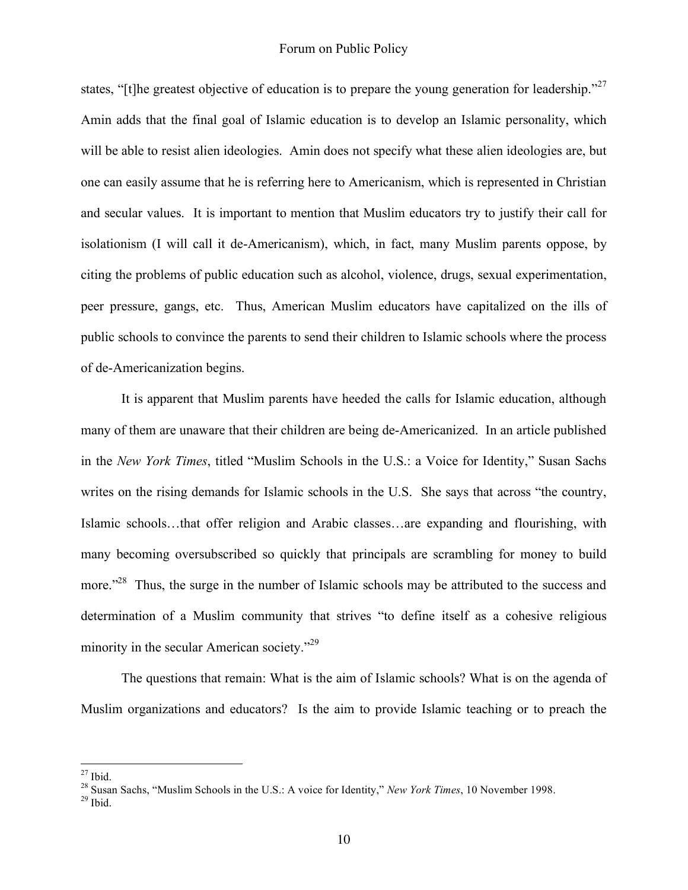states, "[t]he greatest objective of education is to prepare the young generation for leadership."<sup>27</sup> Amin adds that the final goal of Islamic education is to develop an Islamic personality, which will be able to resist alien ideologies. Amin does not specify what these alien ideologies are, but one can easily assume that he is referring here to Americanism, which is represented in Christian and secular values. It is important to mention that Muslim educators try to justify their call for isolationism (I will call it de-Americanism), which, in fact, many Muslim parents oppose, by citing the problems of public education such as alcohol, violence, drugs, sexual experimentation, peer pressure, gangs, etc. Thus, American Muslim educators have capitalized on the ills of public schools to convince the parents to send their children to Islamic schools where the process of de-Americanization begins.

It is apparent that Muslim parents have heeded the calls for Islamic education, although many of them are unaware that their children are being de-Americanized. In an article published in the *New York Times*, titled "Muslim Schools in the U.S.: a Voice for Identity," Susan Sachs writes on the rising demands for Islamic schools in the U.S. She says that across "the country, Islamic schools…that offer religion and Arabic classes…are expanding and flourishing, with many becoming oversubscribed so quickly that principals are scrambling for money to build more."<sup>28</sup> Thus, the surge in the number of Islamic schools may be attributed to the success and determination of a Muslim community that strives "to define itself as a cohesive religious minority in the secular American society."<sup>29</sup>

The questions that remain: What is the aim of Islamic schools? What is on the agenda of Muslim organizations and educators? Is the aim to provide Islamic teaching or to preach the

<sup>27</sup> Ibid. <sup>28</sup> Susan Sachs, "Muslim Schools in the U.S.: <sup>A</sup> voice for Identity," *New York Times*, <sup>10</sup> November 1998. <sup>29</sup> Ibid.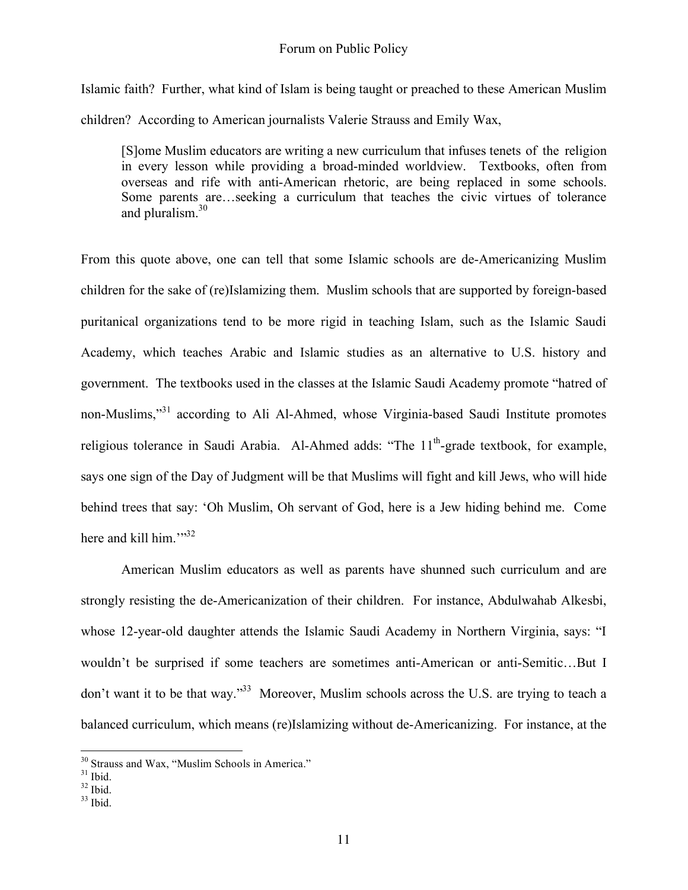Islamic faith? Further, what kind of Islam is being taught or preached to these American Muslim children? According to American journalists Valerie Strauss and Emily Wax,

[S]ome Muslim educators are writing a new curriculum that infuses tenets of the religion in every lesson while providing a broad-minded worldview. Textbooks, often from overseas and rife with anti-American rhetoric, are being replaced in some schools. Some parents are…seeking a curriculum that teaches the civic virtues of tolerance and pluralism.<sup>30</sup>

From this quote above, one can tell that some Islamic schools are de-Americanizing Muslim children for the sake of (re)Islamizing them. Muslim schools that are supported by foreign-based puritanical organizations tend to be more rigid in teaching Islam, such as the Islamic Saudi Academy, which teaches Arabic and Islamic studies as an alternative to U.S. history and government. The textbooks used in the classes at the Islamic Saudi Academy promote "hatred of non-Muslims,"<sup>31</sup> according to Ali Al-Ahmed, whose Virginia-based Saudi Institute promotes religious tolerance in Saudi Arabia. Al-Ahmed adds: "The 11<sup>th</sup>-grade textbook, for example, says one sign of the Day of Judgment will be that Muslims will fight and kill Jews, who will hide behind trees that say: 'Oh Muslim, Oh servant of God, here is a Jew hiding behind me. Come here and kill him."<sup>32</sup>

American Muslim educators as well as parents have shunned such curriculum and are strongly resisting the de-Americanization of their children. For instance, Abdulwahab Alkesbi, whose 12-year-old daughter attends the Islamic Saudi Academy in Northern Virginia, says: "I wouldn't be surprised if some teachers are sometimes anti-American or anti-Semitic…But I don't want it to be that way."<sup>33</sup> Moreover, Muslim schools across the U.S. are trying to teach a balanced curriculum, which means (re)Islamizing without de-Americanizing. For instance, at the

<sup>&</sup>lt;sup>30</sup> Strauss and Wax, "Muslim Schools in America."<br><sup>31</sup> Ibid. <sup>32</sup> Ibid. <sup>33</sup> Ibid.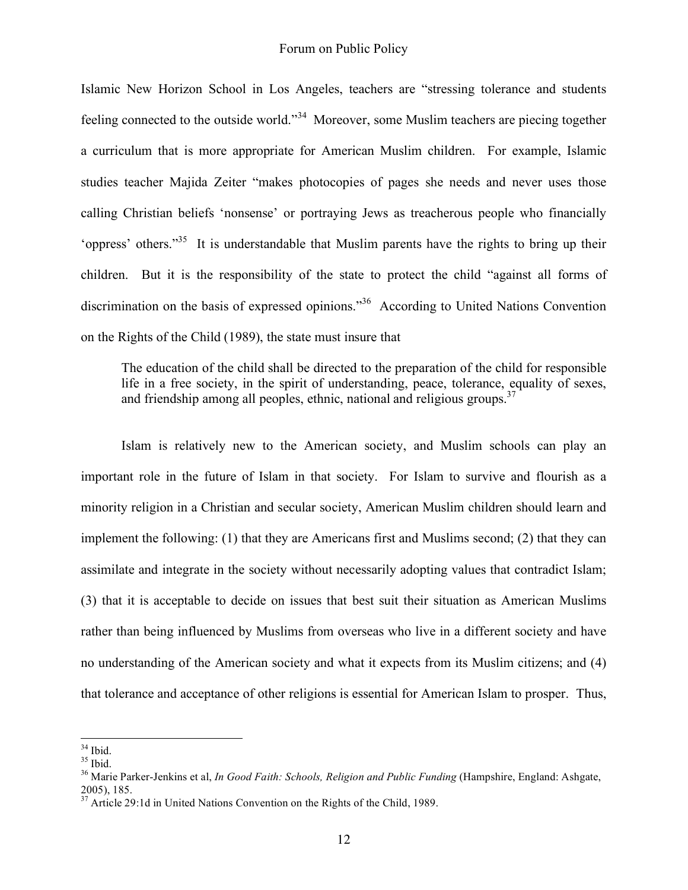Islamic New Horizon School in Los Angeles, teachers are "stressing tolerance and students feeling connected to the outside world."<sup>34</sup> Moreover, some Muslim teachers are piecing together a curriculum that is more appropriate for American Muslim children. For example, Islamic studies teacher Majida Zeiter "makes photocopies of pages she needs and never uses those calling Christian beliefs 'nonsense' or portraying Jews as treacherous people who financially 'oppress' others."<sup>35</sup> It is understandable that Muslim parents have the rights to bring up their children. But it is the responsibility of the state to protect the child "against all forms of discrimination on the basis of expressed opinions."<sup>36</sup> According to United Nations Convention on the Rights of the Child (1989), the state must insure that

The education of the child shall be directed to the preparation of the child for responsible life in a free society, in the spirit of understanding, peace, tolerance, equality of sexes, and friendship among all peoples, ethnic, national and religious groups.<sup>37</sup>

Islam is relatively new to the American society, and Muslim schools can play an important role in the future of Islam in that society. For Islam to survive and flourish as a minority religion in a Christian and secular society, American Muslim children should learn and implement the following: (1) that they are Americans first and Muslims second; (2) that they can assimilate and integrate in the society without necessarily adopting values that contradict Islam; (3) that it is acceptable to decide on issues that best suit their situation as American Muslims rather than being influenced by Muslims from overseas who live in a different society and have no understanding of the American society and what it expects from its Muslim citizens; and (4) that tolerance and acceptance of other religions is essential for American Islam to prosper. Thus,

<sup>34</sup> Ibid. <sup>35</sup> Ibid. <sup>36</sup> Marie Parker-Jenkins et al, *In Good Faith: Schools, Religion and Public Funding* (Hampshire, England: Ashgate, 2005), 185. <sup>37</sup> Article 29:1d in United Nations Convention on the Rights of the Child, 1989.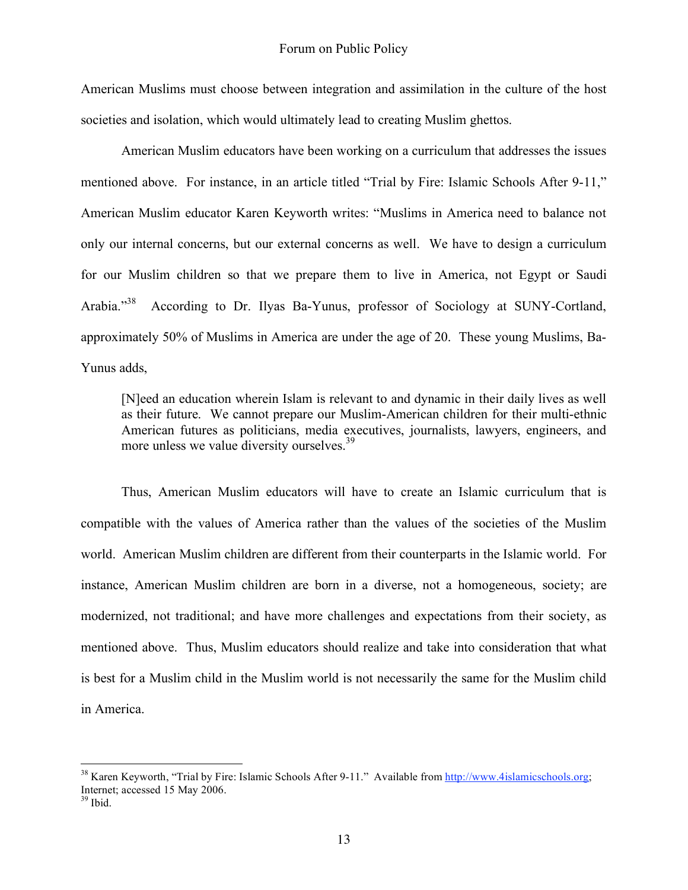American Muslims must choose between integration and assimilation in the culture of the host societies and isolation, which would ultimately lead to creating Muslim ghettos.

American Muslim educators have been working on a curriculum that addresses the issues mentioned above. For instance, in an article titled "Trial by Fire: Islamic Schools After 9-11," American Muslim educator Karen Keyworth writes: "Muslims in America need to balance not only our internal concerns, but our external concerns as well. We have to design a curriculum for our Muslim children so that we prepare them to live in America, not Egypt or Saudi Arabia."<sup>38</sup> According to Dr. Ilyas Ba-Yunus, professor of Sociology at SUNY-Cortland, approximately 50% of Muslims in America are under the age of 20. These young Muslims, Ba-Yunus adds,

[N]eed an education wherein Islam is relevant to and dynamic in their daily lives as well as their future. We cannot prepare our Muslim-American children for their multi-ethnic American futures as politicians, media executives, journalists, lawyers, engineers, and more unless we value diversity ourselves.<sup>39</sup>

Thus, American Muslim educators will have to create an Islamic curriculum that is compatible with the values of America rather than the values of the societies of the Muslim world. American Muslim children are different from their counterparts in the Islamic world. For instance, American Muslim children are born in a diverse, not a homogeneous, society; are modernized, not traditional; and have more challenges and expectations from their society, as mentioned above. Thus, Muslim educators should realize and take into consideration that what is best for a Muslim child in the Muslim world is not necessarily the same for the Muslim child in America.

<sup>&</sup>lt;sup>38</sup> Karen Keyworth, "Trial by Fire: Islamic Schools After 9-11." Available from http://www.4islamicschools.org; Internet; accessed 15 May 2006.<br><sup>39</sup> Ibid.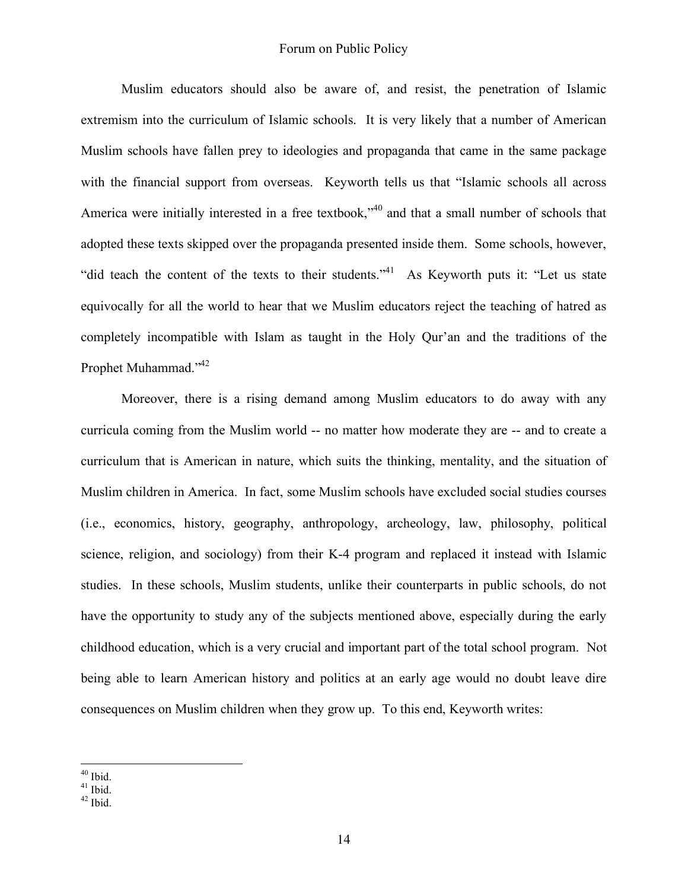Muslim educators should also be aware of, and resist, the penetration of Islamic extremism into the curriculum of Islamic schools. It is very likely that a number of American Muslim schools have fallen prey to ideologies and propaganda that came in the same package with the financial support from overseas. Keyworth tells us that "Islamic schools all across America were initially interested in a free textbook,"<sup>40</sup> and that a small number of schools that adopted these texts skipped over the propaganda presented inside them. Some schools, however, "did teach the content of the texts to their students."<sup>41</sup> As Keyworth puts it: "Let us state equivocally for all the world to hear that we Muslim educators reject the teaching of hatred as completely incompatible with Islam as taught in the Holy Qur'an and the traditions of the Prophet Muhammad."<sup>42</sup>

Moreover, there is a rising demand among Muslim educators to do away with any curricula coming from the Muslim world -- no matter how moderate they are -- and to create a curriculum that is American in nature, which suits the thinking, mentality, and the situation of Muslim children in America. In fact, some Muslim schools have excluded social studies courses (i.e., economics, history, geography, anthropology, archeology, law, philosophy, political science, religion, and sociology) from their K-4 program and replaced it instead with Islamic studies. In these schools, Muslim students, unlike their counterparts in public schools, do not have the opportunity to study any of the subjects mentioned above, especially during the early childhood education, which is a very crucial and important part of the total school program. Not being able to learn American history and politics at an early age would no doubt leave dire consequences on Muslim children when they grow up. To this end, Keyworth writes:

 $^{40}$  Ibid.<br> $^{41}$  Ibid.<br> $^{42}$  Ibid.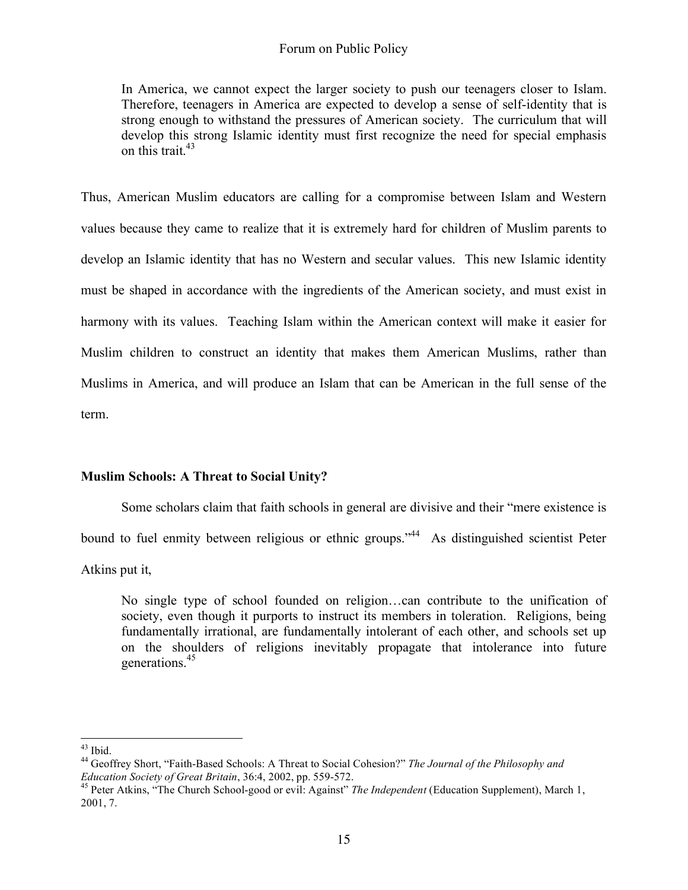In America, we cannot expect the larger society to push our teenagers closer to Islam. Therefore, teenagers in America are expected to develop a sense of self-identity that is strong enough to withstand the pressures of American society. The curriculum that will develop this strong Islamic identity must first recognize the need for special emphasis on this trait. 43

Thus, American Muslim educators are calling for a compromise between Islam and Western values because they came to realize that it is extremely hard for children of Muslim parents to develop an Islamic identity that has no Western and secular values. This new Islamic identity must be shaped in accordance with the ingredients of the American society, and must exist in harmony with its values. Teaching Islam within the American context will make it easier for Muslim children to construct an identity that makes them American Muslims, rather than Muslims in America, and will produce an Islam that can be American in the full sense of the term.

# **Muslim Schools: A Threat to Social Unity?**

Some scholars claim that faith schools in general are divisive and their "mere existence is

bound to fuel enmity between religious or ethnic groups."<sup>44</sup> As distinguished scientist Peter

Atkins put it,

No single type of school founded on religion…can contribute to the unification of society, even though it purports to instruct its members in toleration. Religions, being fundamentally irrational, are fundamentally intolerant of each other, and schools set up on the shoulders of religions inevitably propagate that intolerance into future generations. 45

<sup>43</sup> Ibid. <sup>44</sup> Geoffrey Short, "Faith-Based Schools: <sup>A</sup> Threat to Social Cohesion?" *The Journal of the Philosophy and Education Society of Great Britain*, 36:4, 2002, pp. 559-572.<br><sup>45</sup> Peter Atkins, "The Church School-good or evil: Against" *The Independent* (Education Supplement), March 1,

<sup>2001,</sup> 7.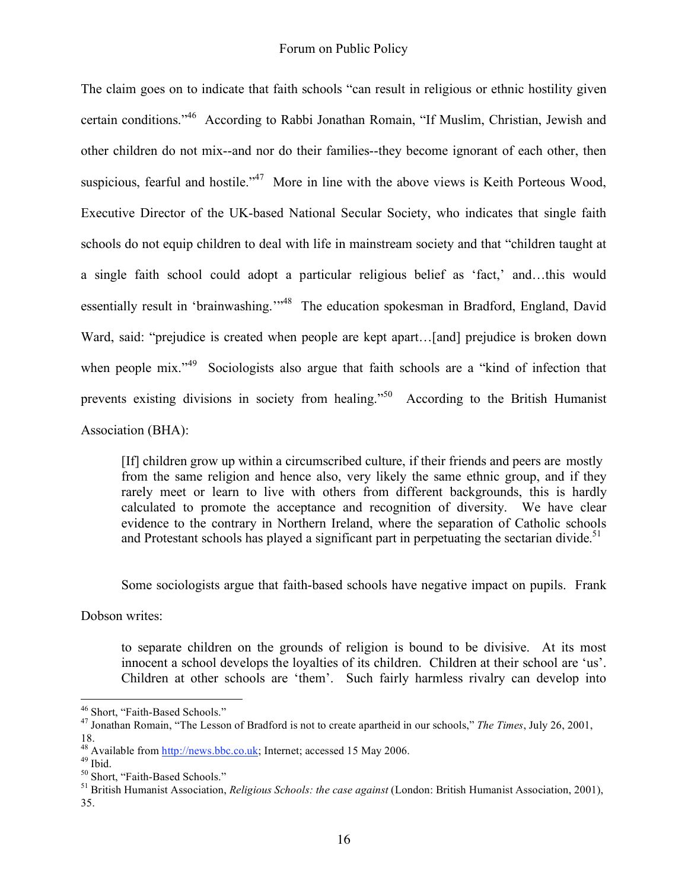The claim goes on to indicate that faith schools "can result in religious or ethnic hostility given certain conditions." <sup>46</sup> According to Rabbi Jonathan Romain, "If Muslim, Christian, Jewish and other children do not mix--and nor do their families--they become ignorant of each other, then suspicious, fearful and hostile."<sup>47</sup> More in line with the above views is Keith Porteous Wood, Executive Director of the UK-based National Secular Society, who indicates that single faith schools do not equip children to deal with life in mainstream society and that "children taught at a single faith school could adopt a particular religious belief as 'fact,' and…this would essentially result in 'brainwashing.'"<sup>48</sup> The education spokesman in Bradford, England, David Ward, said: "prejudice is created when people are kept apart...[and] prejudice is broken down when people mix."<sup>49</sup> Sociologists also argue that faith schools are a "kind of infection that prevents existing divisions in society from healing."<sup>50</sup> According to the British Humanist Association (BHA):

[If] children grow up within a circumscribed culture, if their friends and peers are mostly from the same religion and hence also, very likely the same ethnic group, and if they rarely meet or learn to live with others from different backgrounds, this is hardly calculated to promote the acceptance and recognition of diversity. We have clear evidence to the contrary in Northern Ireland, where the separation of Catholic schools and Protestant schools has played a significant part in perpetuating the sectarian divide.<sup>51</sup>

Some sociologists argue that faith-based schools have negative impact on pupils. Frank

Dobson writes:

to separate children on the grounds of religion is bound to be divisive. At its most innocent a school develops the loyalties of its children. Children at their school are 'us'. Children at other schools are 'them'. Such fairly harmless rivalry can develop into

<sup>46</sup> Short, "Faith-Based Schools." <sup>47</sup> Jonathan Romain, "The Lesson of Bradford is not to create apartheid in our schools," *The Times*, July 26, 2001,

<sup>&</sup>lt;sup>48</sup> Available from  $\frac{http://news.bbc.co.uk}{http://news.bbc.co.uk}$ ; Internet; accessed 15 May 2006.<br><sup>49</sup> Ibid.<br><sup>50</sup> Short, "Faith-Based Schools."<br><sup>51</sup> British Humanist Association, *Religious Schools: the case against* (London: British Humanist A 35.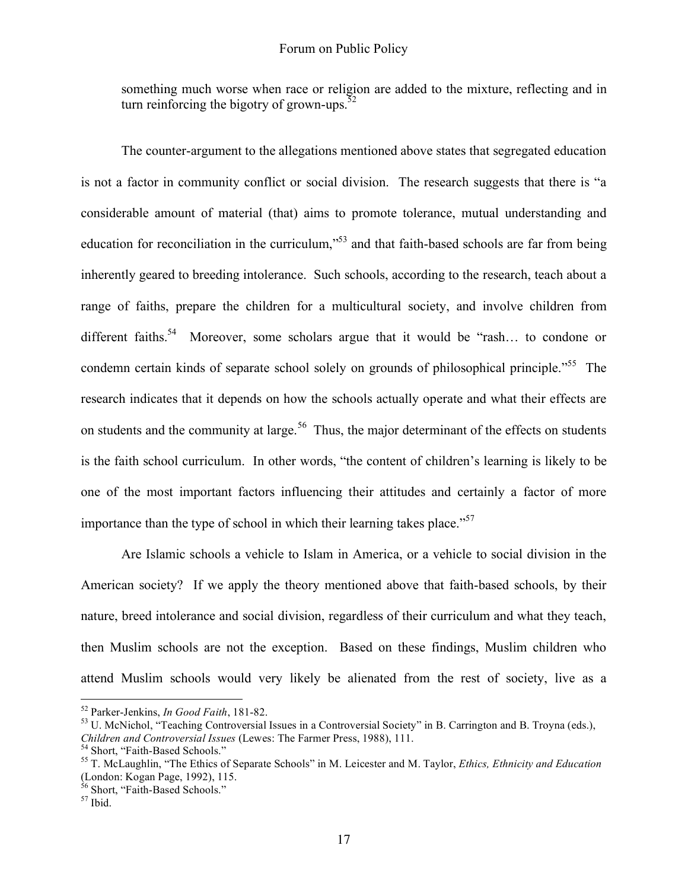something much worse when race or religion are added to the mixture, reflecting and in turn reinforcing the bigotry of grown-ups. $52$ 

The counter-argument to the allegations mentioned above states that segregated education is not a factor in community conflict or social division. The research suggests that there is "a considerable amount of material (that) aims to promote tolerance, mutual understanding and education for reconciliation in the curriculum,"<sup>53</sup> and that faith-based schools are far from being inherently geared to breeding intolerance. Such schools, according to the research, teach about a range of faiths, prepare the children for a multicultural society, and involve children from different faiths.<sup>54</sup> Moreover, some scholars argue that it would be "rash... to condone or condemn certain kinds of separate school solely on grounds of philosophical principle."<sup>55</sup> The research indicates that it depends on how the schools actually operate and what their effects are on students and the community at large.<sup>56</sup> Thus, the major determinant of the effects on students is the faith school curriculum. In other words, "the content of children's learning is likely to be one of the most important factors influencing their attitudes and certainly a factor of more importance than the type of school in which their learning takes place."<sup>57</sup>

Are Islamic schools a vehicle to Islam in America, or a vehicle to social division in the American society? If we apply the theory mentioned above that faith-based schools, by their nature, breed intolerance and social division, regardless of their curriculum and what they teach, then Muslim schools are not the exception. Based on these findings, Muslim children who attend Muslim schools would very likely be alienated from the rest of society, live as a

<sup>&</sup>lt;sup>52</sup> Parker-Jenkins, *In Good Faith*, 181-82.<br><sup>53</sup> U. McNichol, "Teaching Controversial Issues in a Controversial Society" in B. Carrington and B. Troyna (eds.),<br>*Children and Controversial Issues* (Lewes: The Farmer Press

<sup>&</sup>lt;sup>54</sup> Short, "Faith-Based Schools."<br><sup>55</sup> T. McLaughlin, "The Ethics of Separate Schools" in M. Leicester and M. Taylor, *Ethics, Ethnicity and Education* (London: Kogan Page, 1992), 115.<br><sup>56</sup> Short, "Faith-Based Schools."<br><sup>57</sup> Ibid.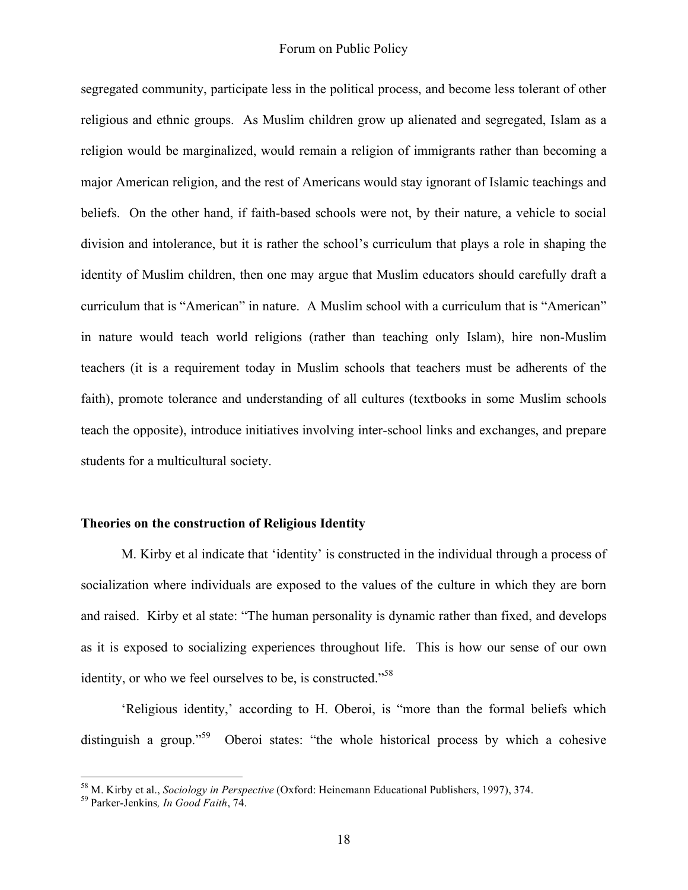segregated community, participate less in the political process, and become less tolerant of other religious and ethnic groups. As Muslim children grow up alienated and segregated, Islam as a religion would be marginalized, would remain a religion of immigrants rather than becoming a major American religion, and the rest of Americans would stay ignorant of Islamic teachings and beliefs. On the other hand, if faith-based schools were not, by their nature, a vehicle to social division and intolerance, but it is rather the school's curriculum that plays a role in shaping the identity of Muslim children, then one may argue that Muslim educators should carefully draft a curriculum that is "American" in nature. A Muslim school with a curriculum that is "American" in nature would teach world religions (rather than teaching only Islam), hire non-Muslim teachers (it is a requirement today in Muslim schools that teachers must be adherents of the faith), promote tolerance and understanding of all cultures (textbooks in some Muslim schools teach the opposite), introduce initiatives involving inter-school links and exchanges, and prepare students for a multicultural society.

#### **Theories on the construction of Religious Identity**

M. Kirby et al indicate that 'identity' is constructed in the individual through a process of socialization where individuals are exposed to the values of the culture in which they are born and raised. Kirby et al state: "The human personality is dynamic rather than fixed, and develops as it is exposed to socializing experiences throughout life. This is how our sense of our own identity, or who we feel ourselves to be, is constructed."<sup>58</sup>

'Religious identity,' according to H. Oberoi, is "more than the formal beliefs which distinguish a group."<sup>59</sup> Oberoi states: "the whole historical process by which a cohesive

<sup>58</sup> M. Kirby et al., *Sociology in Perspective* (Oxford: Heinemann Educational Publishers, 1997), 374. <sup>59</sup> Parker-Jenkins*, In Good Faith*, 74.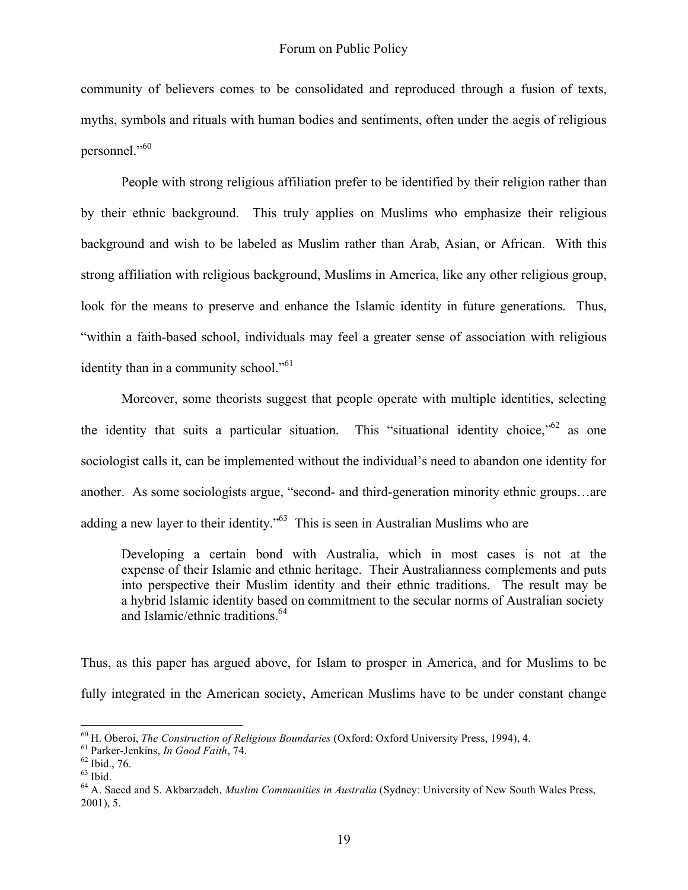community of believers comes to be consolidated and reproduced through a fusion of texts, myths, symbols and rituals with human bodies and sentiments, often under the aegis of religious personnel."<sup>60</sup>

People with strong religious affiliation prefer to be identified by their religion rather than by their ethnic background. This truly applies on Muslims who emphasize their religious background and wish to be labeled as Muslim rather than Arab, Asian, or African. With this strong affiliation with religious background, Muslims in America, like any other religious group, look for the means to preserve and enhance the Islamic identity in future generations. Thus, "within a faith-based school, individuals may feel a greater sense of association with religious identity than in a community school."<sup>61</sup>

Moreover, some theorists suggest that people operate with multiple identities, selecting the identity that suits a particular situation. This "situational identity choice," as one sociologist calls it, can be implemented without the individual's need to abandon one identity for another. As some sociologists argue, "second- and third-generation minority ethnic groups…are adding a new layer to their identity."<sup>63</sup> This is seen in Australian Muslims who are

Developing a certain bond with Australia, which in most cases is not at the expense of their Islamic and ethnic heritage. Their Australianness complements and puts into perspective their Muslim identity and their ethnic traditions. The result may be a hybrid Islamic identity based on commitment to the secular norms of Australian society and Islamic/ethnic traditions. 64

Thus, as this paper has argued above, for Islam to prosper in America, and for Muslims to be fully integrated in the American society, American Muslims have to be under constant change

<sup>&</sup>lt;sup>60</sup> H. Oberoi, *The Construction of Religious Boundaries* (Oxford: Oxford University Press, 1994), 4.<br><sup>61</sup> Parker-Jenkins, *In Good Faith*, 74.<br><sup>62</sup> Ibid., 76.<br><sup>63</sup> Ibid.<br><sup>64</sup> A. Saeed and S. Akbarzadeh. *Muslim Communit* 

<sup>2001),</sup> 5.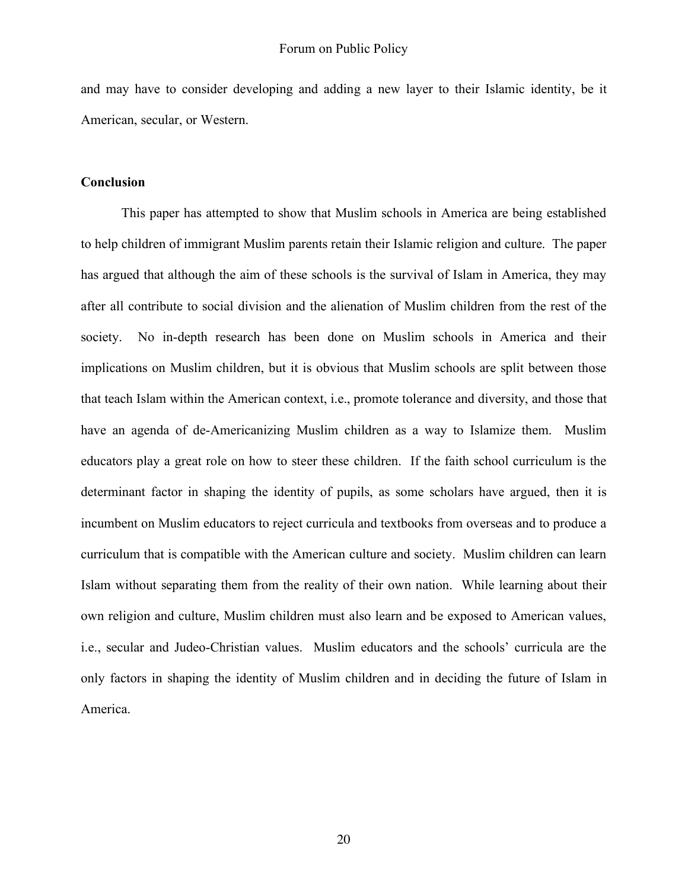and may have to consider developing and adding a new layer to their Islamic identity, be it American, secular, or Western.

#### **Conclusion**

This paper has attempted to show that Muslim schools in America are being established to help children of immigrant Muslim parents retain their Islamic religion and culture. The paper has argued that although the aim of these schools is the survival of Islam in America, they may after all contribute to social division and the alienation of Muslim children from the rest of the society. No in-depth research has been done on Muslim schools in America and their implications on Muslim children, but it is obvious that Muslim schools are split between those that teach Islam within the American context, i.e., promote tolerance and diversity, and those that have an agenda of de-Americanizing Muslim children as a way to Islamize them. Muslim educators play a great role on how to steer these children. If the faith school curriculum is the determinant factor in shaping the identity of pupils, as some scholars have argued, then it is incumbent on Muslim educators to reject curricula and textbooks from overseas and to produce a curriculum that is compatible with the American culture and society. Muslim children can learn Islam without separating them from the reality of their own nation. While learning about their own religion and culture, Muslim children must also learn and be exposed to American values, i.e., secular and Judeo-Christian values. Muslim educators and the schools' curricula are the only factors in shaping the identity of Muslim children and in deciding the future of Islam in America.